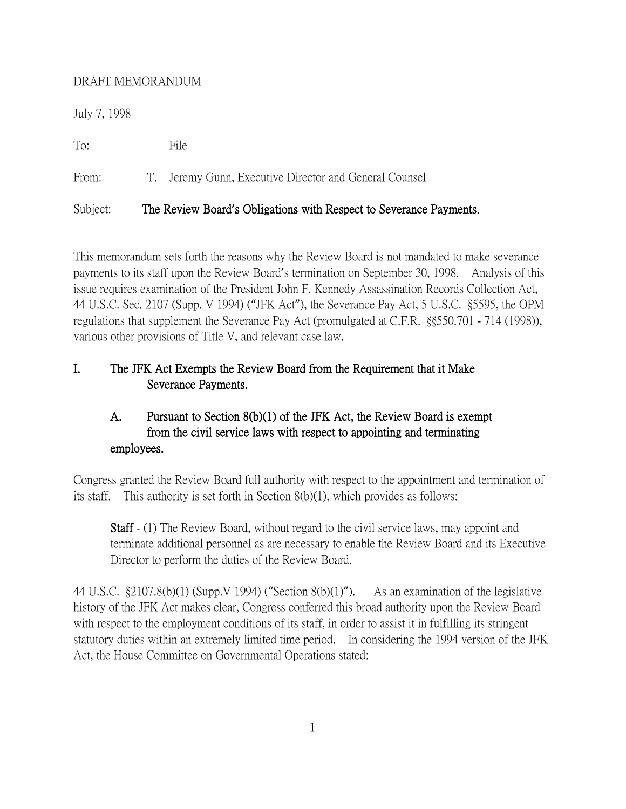#### DRAFT MEMORANDUM

July 7, 1998

To: File

From: T. Jeremy Gunn, Executive Director and General Counsel

# Subject: The Review Board**'**s Obligations with Respect to Severance Payments.

This memorandum sets forth the reasons why the Review Board is not mandated to make severance payments to its staff upon the Review Board's termination on September 30, 1998. Analysis of this issue requires examination of the President John F. Kennedy Assassination Records Collection Act, 44 U.S.C. Sec. 2107 (Supp. V 1994) ("JFK Act"), the Severance Pay Act, 5 U.S.C. §5595, the OPM regulations that supplement the Severance Pay Act (promulgated at C.F.R. §§550.701 - 714 (1998)), various other provisions of Title V, and relevant case law.

# I. The JFK Act Exempts the Review Board from the Requirement that it Make Severance Payments.

# A. Pursuant to Section 8(b)(1) of the JFK Act, the Review Board is exempt from the civil service laws with respect to appointing and terminating employees.

Congress granted the Review Board full authority with respect to the appointment and termination of its staff. This authority is set forth in Section 8(b)(1), which provides as follows:

Staff - (1) The Review Board, without regard to the civil service laws, may appoint and terminate additional personnel as are necessary to enable the Review Board and its Executive Director to perform the duties of the Review Board.

44 U.S.C. §2107.8(b)(1) (Supp.V 1994) ("Section 8(b)(1)"). As an examination of the legislative history of the JFK Act makes clear, Congress conferred this broad authority upon the Review Board with respect to the employment conditions of its staff, in order to assist it in fulfilling its stringent statutory duties within an extremely limited time period. In considering the 1994 version of the JFK Act, the House Committee on Governmental Operations stated: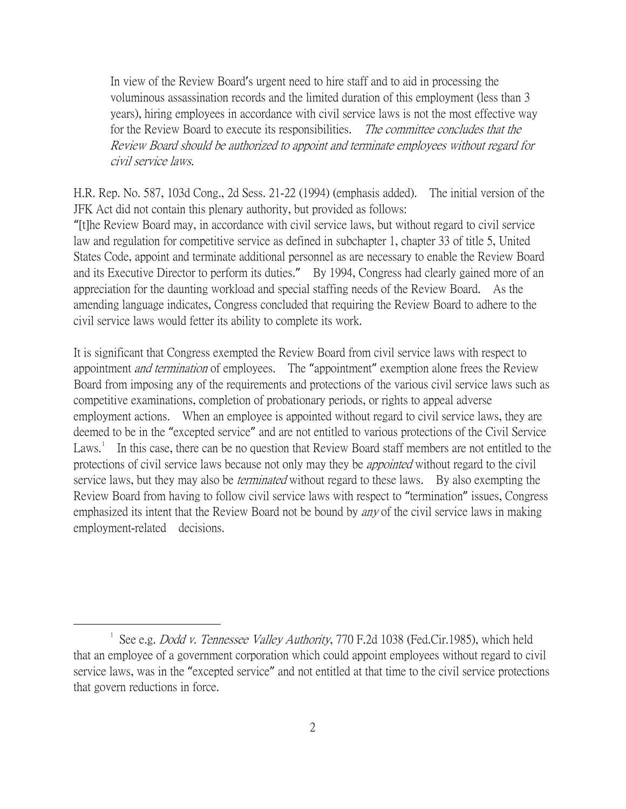In view of the Review Board's urgent need to hire staff and to aid in processing the voluminous assassination records and the limited duration of this employment (less than 3 years), hiring employees in accordance with civil service laws is not the most effective way for the Review Board to execute its responsibilities. The committee concludes that the Review Board should be authorized to appoint and terminate employees without regard for civil service laws.

H.R. Rep. No. 587, 103d Cong., 2d Sess. 21-22 (1994) (emphasis added). The initial version of the JFK Act did not contain this plenary authority, but provided as follows:

"[t]he Review Board may, in accordance with civil service laws, but without regard to civil service law and regulation for competitive service as defined in subchapter 1, chapter 33 of title 5, United States Code, appoint and terminate additional personnel as are necessary to enable the Review Board and its Executive Director to perform its duties." By 1994, Congress had clearly gained more of an appreciation for the daunting workload and special staffing needs of the Review Board. As the amending language indicates, Congress concluded that requiring the Review Board to adhere to the civil service laws would fetter its ability to complete its work.

It is significant that Congress exempted the Review Board from civil service laws with respect to appointment *and termination* of employees. The "appointment" exemption alone frees the Review Board from imposing any of the requirements and protections of the various civil service laws such as competitive examinations, completion of probationary periods, or rights to appeal adverse employment actions. When an employee is appointed without regard to civil service laws, they are deemed to be in the "excepted service" and are not entitled to various protections of the Civil Service Laws.<sup>[1](#page-1-0)</sup> In this case, there can be no question that Review Board staff members are not entitled to the protections of civil service laws because not only may they be *appointed* without regard to the civil service laws, but they may also be *terminated* without regard to these laws. By also exempting the Review Board from having to follow civil service laws with respect to "termination" issues, Congress emphasized its intent that the Review Board not be bound by *any* of the civil service laws in making employment-related decisions.

<span id="page-1-0"></span><sup>&</sup>lt;sup>1</sup> See e.g. *Dodd v. Tennessee Valley Authority*, 770 F.2d 1038 (Fed.Cir.1985), which held that an employee of a government corporation which could appoint employees without regard to civil service laws, was in the "excepted service" and not entitled at that time to the civil service protections that govern reductions in force.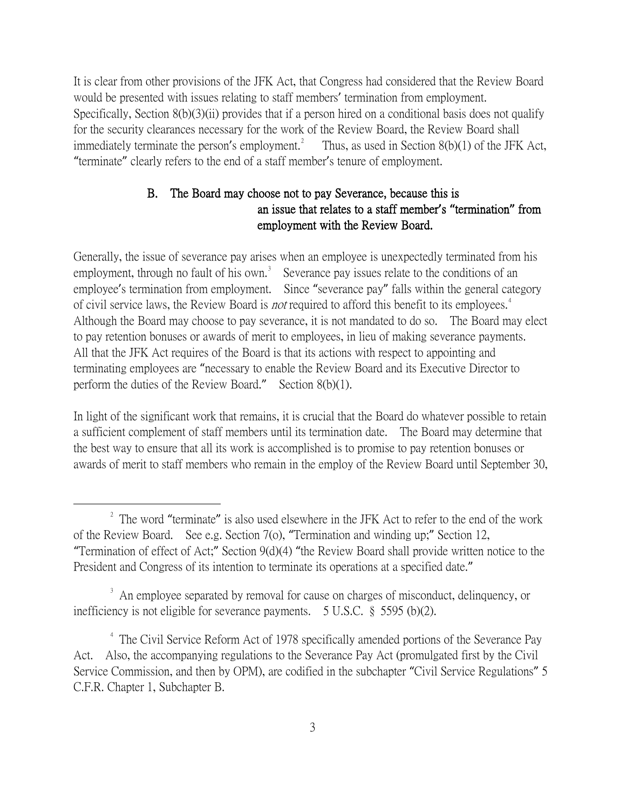It is clear from other provisions of the JFK Act, that Congress had considered that the Review Board would be presented with issues relating to staff members' termination from employment. Specifically, Section 8(b)(3)(ii) provides that if a person hired on a conditional basis does not qualify for the security clearances necessary for the work of the Review Board, the Review Board shall immediately terminate the person's employment.<sup>[2](#page-2-0)</sup> Thus, as used in Section 8(b)(1) of the JFK Act, "terminate" clearly refers to the end of a staff member's tenure of employment.

### B. The Board may choose not to pay Severance, because this is an issue that relates to a staff member**'**s **"**termination**"** from employment with the Review Board.

Generally, the issue of severance pay arises when an employee is unexpectedly terminated from his employment, through no fault of his own.<sup>[3](#page-2-1)</sup> Severance pay issues relate to the conditions of an employee's termination from employment. Since "severance pay" falls within the general category of civil service laws, the Review Board is *not* required to afford this benefit to its employees.<sup>[4](#page-2-2)</sup> Although the Board may choose to pay severance, it is not mandated to do so. The Board may elect to pay retention bonuses or awards of merit to employees, in lieu of making severance payments. All that the JFK Act requires of the Board is that its actions with respect to appointing and terminating employees are "necessary to enable the Review Board and its Executive Director to perform the duties of the Review Board." Section 8(b)(1).

In light of the significant work that remains, it is crucial that the Board do whatever possible to retain a sufficient complement of staff members until its termination date. The Board may determine that the best way to ensure that all its work is accomplished is to promise to pay retention bonuses or awards of merit to staff members who remain in the employ of the Review Board until September 30,

<span id="page-2-0"></span><sup>&</sup>lt;sup>2</sup> The word "terminate" is also used elsewhere in the JFK Act to refer to the end of the work of the Review Board. See e.g. Section 7(o), "Termination and winding up;" Section 12, "Termination of effect of Act;" Section 9(d)(4) "the Review Board shall provide written notice to the President and Congress of its intention to terminate its operations at a specified date."

<span id="page-2-1"></span><sup>&</sup>lt;sup>3</sup> An employee separated by removal for cause on charges of misconduct, delinquency, or inefficiency is not eligible for severance payments. 5 U.S.C. § 5595 (b)(2).

<span id="page-2-2"></span><sup>&</sup>lt;sup>4</sup> The Civil Service Reform Act of 1978 specifically amended portions of the Severance Pay Act. Also, the accompanying regulations to the Severance Pay Act (promulgated first by the Civil Service Commission, and then by OPM), are codified in the subchapter "Civil Service Regulations" 5 C.F.R. Chapter 1, Subchapter B.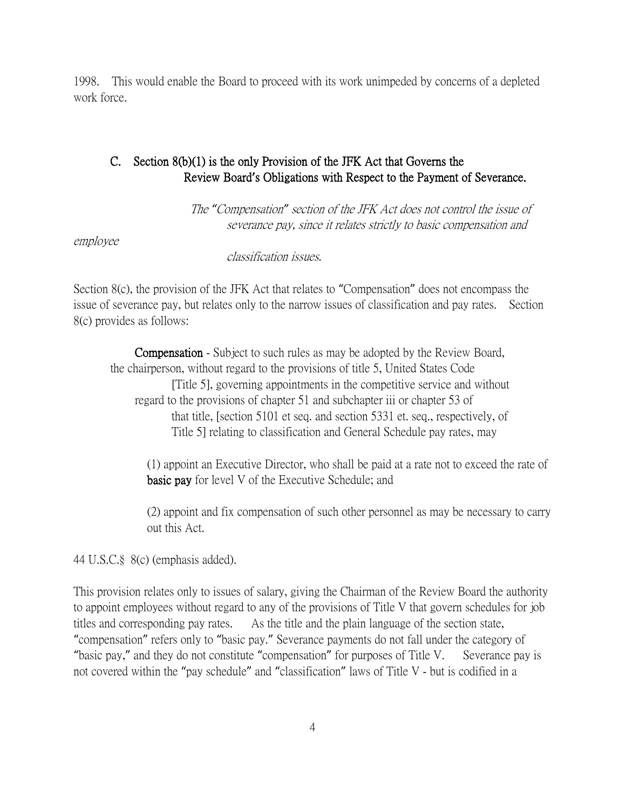1998. This would enable the Board to proceed with its work unimpeded by concerns of a depleted work force.

### C. Section 8(b)(1) is the only Provision of the JFK Act that Governs the Review Board**'**s Obligations with Respect to the Payment of Severance.

 The *"*Compensation*"* section of the JFK Act does not control the issue of severance pay, since it relates strictly to basic compensation and

employee

classification issues.

Section 8(c), the provision of the JFK Act that relates to "Compensation" does not encompass the issue of severance pay, but relates only to the narrow issues of classification and pay rates. Section 8(c) provides as follows:

 Compensation - Subject to such rules as may be adopted by the Review Board, the chairperson, without regard to the provisions of title 5, United States Code [Title 5], governing appointments in the competitive service and without regard to the provisions of chapter 51 and subchapter iii or chapter 53 of that title, [section 5101 et seq. and section 5331 et. seq., respectively, of Title 5] relating to classification and General Schedule pay rates, may

 (1) appoint an Executive Director, who shall be paid at a rate not to exceed the rate of basic pay for level V of the Executive Schedule; and

(2) appoint and fix compensation of such other personnel as may be necessary to carry out this Act.

44 U.S.C.§ 8(c) (emphasis added).

This provision relates only to issues of salary, giving the Chairman of the Review Board the authority to appoint employees without regard to any of the provisions of Title V that govern schedules for job titles and corresponding pay rates. As the title and the plain language of the section state, "compensation" refers only to "basic pay." Severance payments do not fall under the category of "basic pay," and they do not constitute "compensation" for purposes of Title V. Severance pay is not covered within the "pay schedule" and "classification" laws of Title V - but is codified in a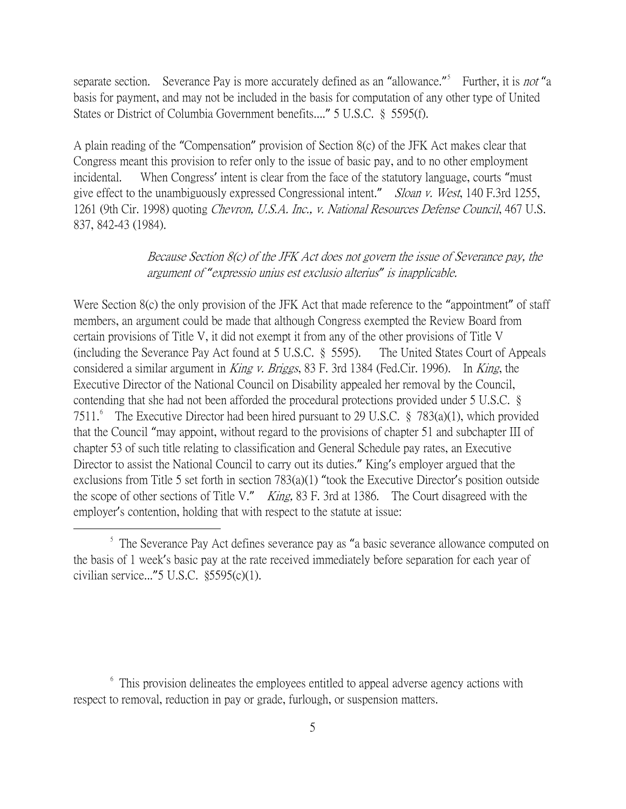separate section. Severance Pay is more accurately defined as an "allowance."<sup>[5](#page-4-0)</sup> Further, it is *not* "a basis for payment, and may not be included in the basis for computation of any other type of United States or District of Columbia Government benefits...." 5 U.S.C. § 5595(f).

A plain reading of the "Compensation" provision of Section 8(c) of the JFK Act makes clear that Congress meant this provision to refer only to the issue of basic pay, and to no other employment incidental. When Congress' intent is clear from the face of the statutory language, courts "must give effect to the unambiguously expressed Congressional intent." Sloan v. West, 140 F.3rd 1255, 1261 (9th Cir. 1998) quoting Chevron, U.S.A. Inc., v. National Resources Defense Council, 467 U.S. 837, 842-43 (1984).

#### Because Section 8(c) of the JFK Act does not govern the issue of Severance pay, the argument of *"*expressio unius est exclusio alterius*"* is inapplicable.

Were Section 8(c) the only provision of the JFK Act that made reference to the "appointment" of staff members, an argument could be made that although Congress exempted the Review Board from certain provisions of Title V, it did not exempt it from any of the other provisions of Title V (including the Severance Pay Act found at 5 U.S.C. § 5595). The United States Court of Appeals considered a similar argument in King v. Briggs, 83 F. 3rd 1384 (Fed.Cir. 1996). In King, the Executive Director of the National Council on Disability appealed her removal by the Council, contending that she had not been afforded the procedural protections provided under 5 U.S.C. § 7511.<sup>[6](#page-4-1)</sup> The Executive Director had been hired pursuant to 29 U.S.C. § 783(a)(1), which provided that the Council "may appoint, without regard to the provisions of chapter 51 and subchapter III of chapter 53 of such title relating to classification and General Schedule pay rates, an Executive Director to assist the National Council to carry out its duties." King's employer argued that the exclusions from Title 5 set forth in section 783(a)(1) "took the Executive Director's position outside the scope of other sections of Title V." *King*, 83 F. 3rd at 1386. The Court disagreed with the employer's contention, holding that with respect to the statute at issue:

<span id="page-4-0"></span> $\frac{5}{1}$ . The Severance Pay Act defines severance pay as "a basic severance allowance computed on the basis of 1 week's basic pay at the rate received immediately before separation for each year of civilian service..."5 U.S.C. §5595(c)(1).

<span id="page-4-1"></span><sup>&</sup>lt;sup>6</sup> This provision delineates the employees entitled to appeal adverse agency actions with respect to removal, reduction in pay or grade, furlough, or suspension matters.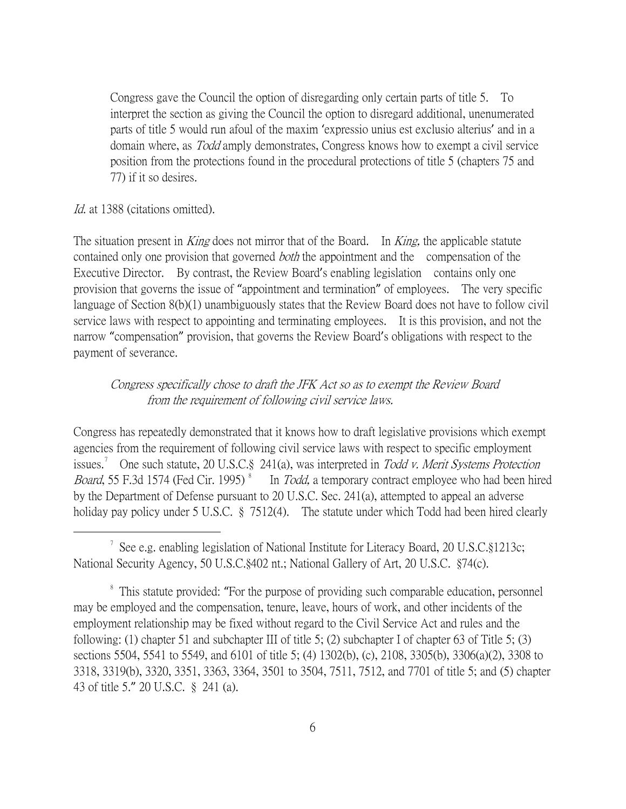Congress gave the Council the option of disregarding only certain parts of title 5. To interpret the section as giving the Council the option to disregard additional, unenumerated parts of title 5 would run afoul of the maxim 'expressio unius est exclusio alterius' and in a domain where, as *Todd* amply demonstrates, Congress knows how to exempt a civil service position from the protections found in the procedural protections of title 5 (chapters 75 and 77) if it so desires.

Id. at 1388 (citations omitted).

The situation present in *King* does not mirror that of the Board. In *King*, the applicable statute contained only one provision that governed *both* the appointment and the compensation of the Executive Director. By contrast, the Review Board's enabling legislation contains only one provision that governs the issue of "appointment and termination" of employees. The very specific language of Section 8(b)(1) unambiguously states that the Review Board does not have to follow civil service laws with respect to appointing and terminating employees. It is this provision, and not the narrow "compensation" provision, that governs the Review Board's obligations with respect to the payment of severance.

### Congress specifically chose to draft the JFK Act so as to exempt the Review Board from the requirement of following civil service laws.

Congress has repeatedly demonstrated that it knows how to draft legislative provisions which exempt agencies from the requirement of following civil service laws with respect to specific employment issues.<sup>[7](#page-5-0)</sup> One such statute, 20 U.S.C.§ 241(a), was interpreted in Todd v. Merit Systems Protection *Board*, 55 F.3d 1574 (Fed Cir. 1995)<sup>[8](#page-5-1)</sup> In Todd, a temporary contract employee who had been hired by the Department of Defense pursuant to 20 U.S.C. Sec. 241(a), attempted to appeal an adverse holiday pay policy under 5 U.S.C. § 7512(4). The statute under which Todd had been hired clearly

<span id="page-5-0"></span> $\overline{\phantom{a}}$ <sup>7</sup> See e.g. enabling legislation of National Institute for Literacy Board, 20 U.S.C.§1213c; National Security Agency, 50 U.S.C.§402 nt.; National Gallery of Art, 20 U.S.C. §74(c).

<span id="page-5-1"></span><sup>&</sup>lt;sup>8</sup> This statute provided: "For the purpose of providing such comparable education, personnel may be employed and the compensation, tenure, leave, hours of work, and other incidents of the employment relationship may be fixed without regard to the Civil Service Act and rules and the following: (1) chapter 51 and subchapter III of title 5; (2) subchapter I of chapter 63 of Title 5; (3) sections 5504, 5541 to 5549, and 6101 of title 5; (4) 1302(b), (c), 2108, 3305(b), 3306(a)(2), 3308 to 3318, 3319(b), 3320, 3351, 3363, 3364, 3501 to 3504, 7511, 7512, and 7701 of title 5; and (5) chapter 43 of title 5." 20 U.S.C. § 241 (a).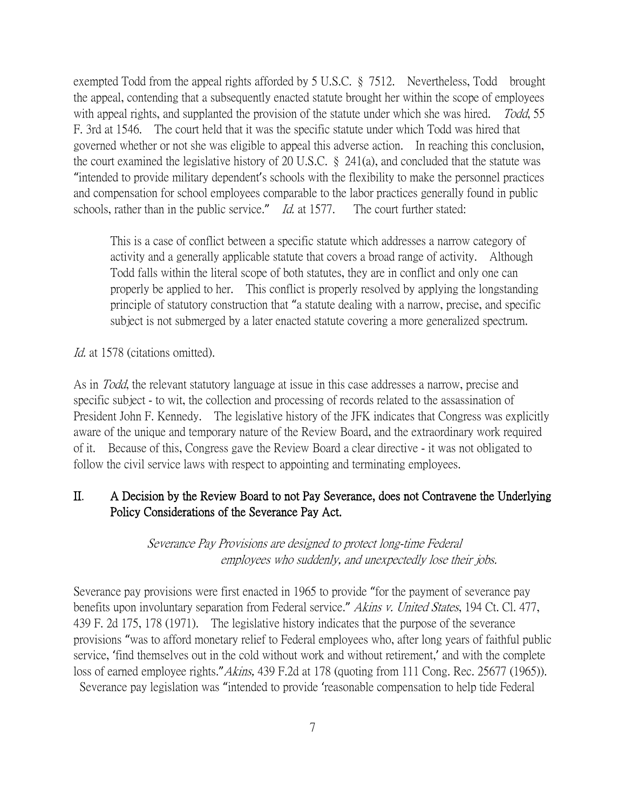exempted Todd from the appeal rights afforded by 5 U.S.C. § 7512. Nevertheless, Todd brought the appeal, contending that a subsequently enacted statute brought her within the scope of employees with appeal rights, and supplanted the provision of the statute under which she was hired. Todd, 55 F. 3rd at 1546. The court held that it was the specific statute under which Todd was hired that governed whether or not she was eligible to appeal this adverse action. In reaching this conclusion, the court examined the legislative history of 20 U.S.C. § 241(a), and concluded that the statute was "intended to provide military dependent's schools with the flexibility to make the personnel practices and compensation for school employees comparable to the labor practices generally found in public schools, rather than in the public service." Id. at 1577. The court further stated:

This is a case of conflict between a specific statute which addresses a narrow category of activity and a generally applicable statute that covers a broad range of activity. Although Todd falls within the literal scope of both statutes, they are in conflict and only one can properly be applied to her. This conflict is properly resolved by applying the longstanding principle of statutory construction that "a statute dealing with a narrow, precise, and specific subject is not submerged by a later enacted statute covering a more generalized spectrum.

Id. at 1578 (citations omitted).

As in Todd, the relevant statutory language at issue in this case addresses a narrow, precise and specific subject - to wit, the collection and processing of records related to the assassination of President John F. Kennedy. The legislative history of the JFK indicates that Congress was explicitly aware of the unique and temporary nature of the Review Board, and the extraordinary work required of it. Because of this, Congress gave the Review Board a clear directive - it was not obligated to follow the civil service laws with respect to appointing and terminating employees.

#### II. A Decision by the Review Board to not Pay Severance, does not Contravene the Underlying Policy Considerations of the Severance Pay Act.

Severance Pay Provisions are designed to protect long-time Federal employees who suddenly, and unexpectedly lose their jobs.

Severance pay provisions were first enacted in 1965 to provide "for the payment of severance pay benefits upon involuntary separation from Federal service." Akins v. United States, 194 Ct. Cl. 477, 439 F. 2d 175, 178 (1971). The legislative history indicates that the purpose of the severance provisions "was to afford monetary relief to Federal employees who, after long years of faithful public service, 'find themselves out in the cold without work and without retirement,' and with the complete loss of earned employee rights."Akins, 439 F.2d at 178 (quoting from 111 Cong. Rec. 25677 (1965)). Severance pay legislation was "intended to provide 'reasonable compensation to help tide Federal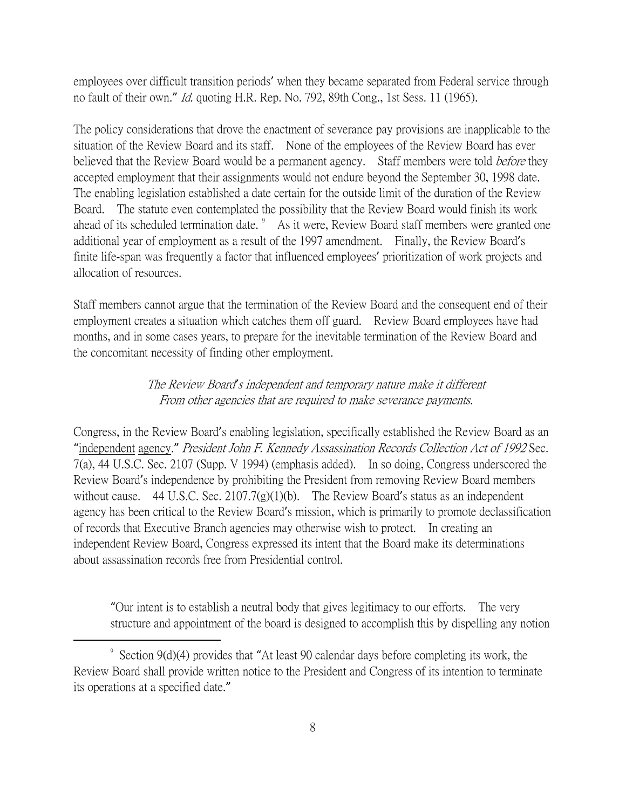employees over difficult transition periods' when they became separated from Federal service through no fault of their own." Id. quoting H.R. Rep. No. 792, 89th Cong., 1st Sess. 11 (1965).

The policy considerations that drove the enactment of severance pay provisions are inapplicable to the situation of the Review Board and its staff. None of the employees of the Review Board has ever believed that the Review Board would be a permanent agency. Staff members were told *before* they accepted employment that their assignments would not endure beyond the September 30, 1998 date. The enabling legislation established a date certain for the outside limit of the duration of the Review Board. The statute even contemplated the possibility that the Review Board would finish its work ahead of its scheduled termination date. <sup>[9](#page-7-0)</sup> As it were, Review Board staff members were granted one additional year of employment as a result of the 1997 amendment. Finally, the Review Board's finite life-span was frequently a factor that influenced employees' prioritization of work projects and allocation of resources.

Staff members cannot argue that the termination of the Review Board and the consequent end of their employment creates a situation which catches them off guard. Review Board employees have had months, and in some cases years, to prepare for the inevitable termination of the Review Board and the concomitant necessity of finding other employment.

#### The Review Board*'*s independent and temporary nature make it different From other agencies that are required to make severance payments.

Congress, in the Review Board's enabling legislation, specifically established the Review Board as an "independent agency." President John F. Kennedy Assassination Records Collection Act of 1992 Sec. 7(a), 44 U.S.C. Sec. 2107 (Supp. V 1994) (emphasis added). In so doing, Congress underscored the Review Board's independence by prohibiting the President from removing Review Board members without cause. 44 U.S.C. Sec. 2107.7(g)(1)(b). The Review Board's status as an independent agency has been critical to the Review Board's mission, which is primarily to promote declassification of records that Executive Branch agencies may otherwise wish to protect. In creating an independent Review Board, Congress expressed its intent that the Board make its determinations about assassination records free from Presidential control.

"Our intent is to establish a neutral body that gives legitimacy to our efforts. The very structure and appointment of the board is designed to accomplish this by dispelling any notion

<span id="page-7-0"></span> <sup>9</sup>  $\degree$  Section 9(d)(4) provides that "At least 90 calendar days before completing its work, the Review Board shall provide written notice to the President and Congress of its intention to terminate its operations at a specified date."